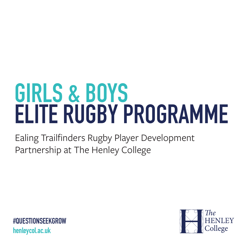# **GIRLS & BOYS ELITE RUGBY PROGRAMME**

Ealing Trailfinders Rugby Player Development Partnership at The Henley College

**#QUESTIONSEEKGROW henleycol.ac.uk**

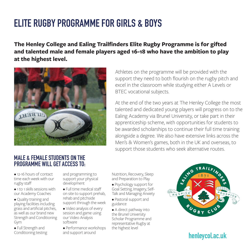# **ELITE RUGBY PROGRAMME FOR GIRLS & BOYS**

**The Henley College and Ealing Trailfinders Elite Rugby Programme is for gifted and talented male and female players aged 16-18 who have the ambition to play at the highest level.**



Athletes on the programme will be provided with the support they need to both flourish on the rugby pitch and excel in the classroom while studying either A Levels or BTEC vocational subjects.

At the end of the two years at The Henley College the most talented and dedicated young players will progress on to the Ealing Academy via Brunel University, or take part in their apprenticeship scheme, with opportunities for students to be awarded scholarships to continue their full time training alongside a degree. We also have extensive links across the Men's & Women's games, both in the UK and overseas, to support those students who seek alternative routes.

#### **MALE & FEMALE STUDENTS ON THE PROGRAMME WILL GET ACCESS TO:**

• 12-16 hours of contact time each week with our rugby staff

- 1 to 1 skills sessions with our Academy Coaches
- Quality training and playing facilities including grass and artificial pitches, as well as our brand new Strength and Conditioning Gym
- Full Strength and Conditioning testing

and programming to support your physical development

- Full time medical staff on site to support prehab, rehab and pitchside support through the week
- Video analysis of every session and game using our Video Analysis software
- Performance workshops and support around

Nutrition, Recovery, Sleep and Preparation to Play

- Psychology support for Goal Setting, Imagery, Self-Talk and Managing Anxiety
- Pastoral support and guidance
- A direct pathway into the Brunel University Scholar Programme and representative Rugby at the highest level



## **henleycol.ac.uk**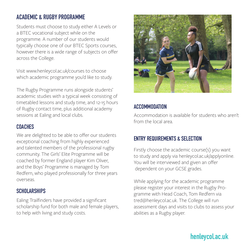#### **ACADEMIC & RUGBY PROGRAMME**

Students must choose to study either A Levels or a BTEC vocational subject while on the programme. A number of our students would typically choose one of our BTEC Sports courses, however there is a wide range of subjects on offer across the College.

Visit www.henleycol.ac.uk/courses to choose which academic programme you'd like to study.

The Rugby Programme runs alongside students' academic studies with a typical week consisting of timetabled lessons and study time, and 12-15 hours of Rugby contact time, plus additional academy sessions at Ealing and local clubs.

#### **COACHES**

We are delighted to be able to offer our students exceptional coaching from highly experienced and talented members of the professional rugby community. The Girls' Elite Programme will be coached by former England player Kim Oliver, and the Boys' Programme is managed by Tom Redfern, who played professionally for three years overseas.

#### **SCHOLARSHIPS**

Ealing Trailfinders have provided a significant scholarship fund for both male and female players, to help with living and study costs.



#### **ACCOMMODATION**

Accommodation is available for students who aren't from the local area.

#### **ENTRY REQUIREMENTS & SELECTION**

Firstly choose the academic course(s) you want to study and apply via henleycol.ac.uk/applyonline. You will be interviewed and given an offer dependent on your GCSE grades.

While applying for the academic programme please register your interest in the Rugby Programme with Head Coach, Tom Redfern via tred@henleycol.ac.uk. The College will run assessment days and visits to clubs to assess your abilities as a Rugby player.

## **henleycol.ac.uk**